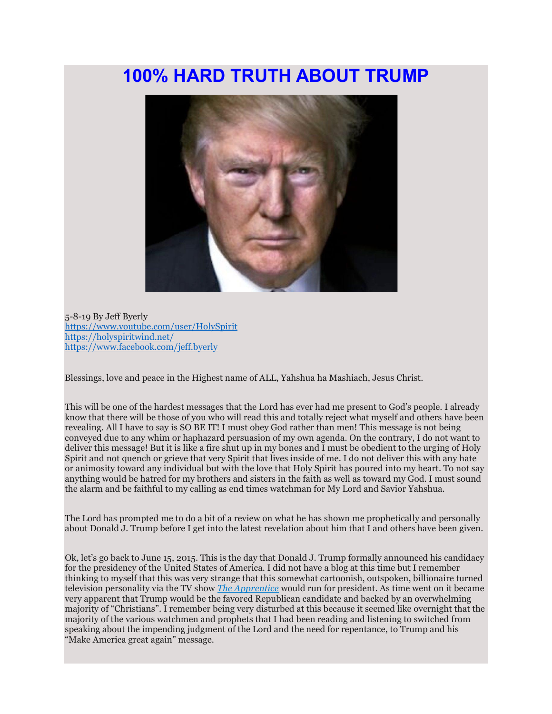## **100% HARD TRUTH ABOUT TRUMP**



5-8-19 By Jeff Byerly <https://www.youtube.com/user/HolySpirit> <https://holyspiritwind.net/> <https://www.facebook.com/jeff.byerly>

Blessings, love and peace in the Highest name of ALL, Yahshua ha Mashiach, Jesus Christ.

This will be one of the hardest messages that the Lord has ever had me present to God's people. I already know that there will be those of you who will read this and totally reject what myself and others have been revealing. All I have to say is SO BE IT! I must obey God rather than men! This message is not being conveyed due to any whim or haphazard persuasion of my own agenda. On the contrary, I do not want to deliver this message! But it is like a fire shut up in my bones and I must be obedient to the urging of Holy Spirit and not quench or grieve that very Spirit that lives inside of me. I do not deliver this with any hate or animosity toward any individual but with the love that Holy Spirit has poured into my heart. To not say anything would be hatred for my brothers and sisters in the faith as well as toward my God. I must sound the alarm and be faithful to my calling as end times watchman for My Lord and Savior Yahshua.

The Lord has prompted me to do a bit of a review on what he has shown me prophetically and personally about Donald J. Trump before I get into the latest revelation about him that I and others have been given.

Ok, let's go back to June 15, 2015. This is the day that Donald J. Trump formally announced his candidacy for the presidency of the United States of America. I did not have a blog at this time but I remember thinking to myself that this was very strange that this somewhat cartoonish, outspoken, billionaire turned television personality via the TV show *[The Apprentice](https://en.wikipedia.org/wiki/The_Apprentice_(U.S._TV_series))* would run for president. As time went on it became very apparent that Trump would be the favored Republican candidate and backed by an overwhelming majority of "Christians". I remember being very disturbed at this because it seemed like overnight that the majority of the various watchmen and prophets that I had been reading and listening to switched from speaking about the impending judgment of the Lord and the need for repentance, to Trump and his "Make America great again" message.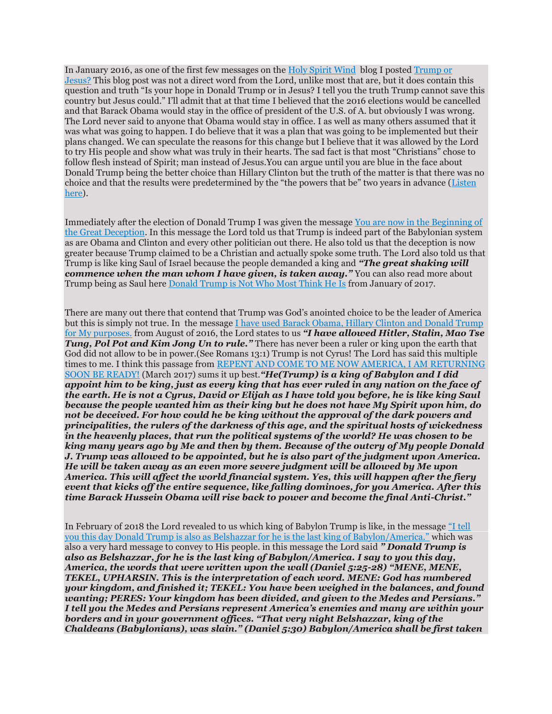In January 2016, as one of the first few messages on the [Holy Spirit Wind](https://holyspiritwind.net/) blog I posted [Trump or](https://holyspiritwind.net/2016/01/trump-or-jesus/)  [Jesus?](https://holyspiritwind.net/2016/01/trump-or-jesus/) This blog post was not a direct word from the Lord, unlike most that are, but it does contain this question and truth "Is your hope in Donald Trump or in Jesus? I tell you the truth Trump cannot save this country but Jesus could." I'll admit that at that time I believed that the 2016 elections would be cancelled and that Barack Obama would stay in the office of president of the U.S. of A. but obviously I was wrong. The Lord never said to anyone that Obama would stay in office. I as well as many others assumed that it was what was going to happen. I do believe that it was a plan that was going to be implemented but their plans changed. We can speculate the reasons for this change but I believe that it was allowed by the Lord to try His people and show what was truly in their hearts. The sad fact is that most "Christians" chose to follow flesh instead of Spirit; man instead of Jesus.You can argue until you are blue in the face about Donald Trump being the better choice than Hillary Clinton but the truth of the matter is that there was no choice and that the results were predetermined by the "the powers that be" two years in advance ([Listen](https://aminutetomidnite.com/2016/11/10/079-the-trump-presidency-very-important-must-hear-joanie-stahl-brook-a-tony-k/)  [here\)](https://aminutetomidnite.com/2016/11/10/079-the-trump-presidency-very-important-must-hear-joanie-stahl-brook-a-tony-k/).

Immediately after the election of Donald Trump I was given the message [You are now in the Beginning of](https://holyspiritwind.net/2016/11/you-are-now-in-the-beginning-of-the-great-deception/)  [the Great Deception.](https://holyspiritwind.net/2016/11/you-are-now-in-the-beginning-of-the-great-deception/) In this message the Lord told us that Trump is indeed part of the Babylonian system as are Obama and Clinton and every other politician out there. He also told us that the deception is now greater because Trump claimed to be a Christian and actually spoke some truth. The Lord also told us that Trump is like king Saul of Israel because the people demanded a king and *"The great shaking will commence when the man whom I have given, is taken away.* "You can also read more about Trump being as Saul here [Donald Trump is Not Who Most Think He Is](https://holyspiritwind.net/2017/01/donald-trump-is-not-who-most-think-he-is/) from January of 2017.

There are many out there that contend that Trump was God's anointed choice to be the leader of America but this is simply not true. In the message [I have used Barack Obama, Hillary Clinton and Donald Trump](https://holyspiritwind.net/2016/08/i-have-used-barack-obama-hillary-clinton-and-donald-trump-for-my-purposes/)  [for My purposes.](https://holyspiritwind.net/2016/08/i-have-used-barack-obama-hillary-clinton-and-donald-trump-for-my-purposes/) from August of 2016, the Lord states to us *"I have allowed Hitler, Stalin, Mao Tse Tung, Pol Pot and Kim Jong Un to rule."* There has never been a ruler or king upon the earth that God did not allow to be in power.(See Romans 13:1) Trump is not Cyrus! The Lord has said this multiple times to me. I think this passage from [REPENT AND COME TO ME NOW AMERICA, I AM RETURNING](https://holyspiritwind.net/2017/03/repent-and-come-to-me-now-america-i-am-returning-soon-be-ready/)  [SOON BE READY!](https://holyspiritwind.net/2017/03/repent-and-come-to-me-now-america-i-am-returning-soon-be-ready/) (March 2017) sums it up best.*"He(Trump) is a king of Babylon and I did appoint him to be king, just as every king that has ever ruled in any nation on the face of the earth. He is not a Cyrus, David or Elijah as I have told you before, he is like king Saul because the people wanted him as their king but he does not have My Spirit upon him, do not be deceived. For how could he be king without the approval of the dark powers and principalities, the rulers of the darkness of this age, and the spiritual hosts of wickedness in the heavenly places, that run the political systems of the world? He was chosen to be king many years ago by Me and then by them. Because of the outcry of My people Donald J. Trump was allowed to be appointed, but he is also part of the judgment upon America. He will be taken away as an even more severe judgment will be allowed by Me upon America. This will affect the world financial system. Yes, this will happen after the fiery event that kicks off the entire sequence, like falling dominoes, for you America. After this time Barack Hussein Obama will rise back to power and become the final Anti-Christ."*

In February of 2018 the Lord revealed to us which king of Babylon Trump is like, in the message ["I tell](https://holyspiritwind.net/2018/02/i-tell-you-this-day-donald-trump-is-also-as-belshazzar-for-he-is-the-last-king-of-babylon-america/)  [you this day Donald Trump is also as Belshazzar for he is the last king of Babylon/America."](https://holyspiritwind.net/2018/02/i-tell-you-this-day-donald-trump-is-also-as-belshazzar-for-he-is-the-last-king-of-babylon-america/) which was also a very hard message to convey to His people. in this message the Lord said *" Donald Trump is also as Belshazzar, for he is the last king of Babylon/America. I say to you this day, America, the words that were written upon the wall (Daniel 5:25-28) "MENE, MENE, TEKEL, UPHARSIN. This is the interpretation of each word. MENE: God has numbered your kingdom, and finished it; TEKEL: You have been weighed in the balances, and found wanting; PERES: Your kingdom has been divided, and given to the Medes and Persians." I tell you the Medes and Persians represent America's enemies and many are within your borders and in your government offices. "That very night Belshazzar, king of the Chaldeans (Babylonians), was slain." (Daniel 5:30) Babylon/America shall be first taken*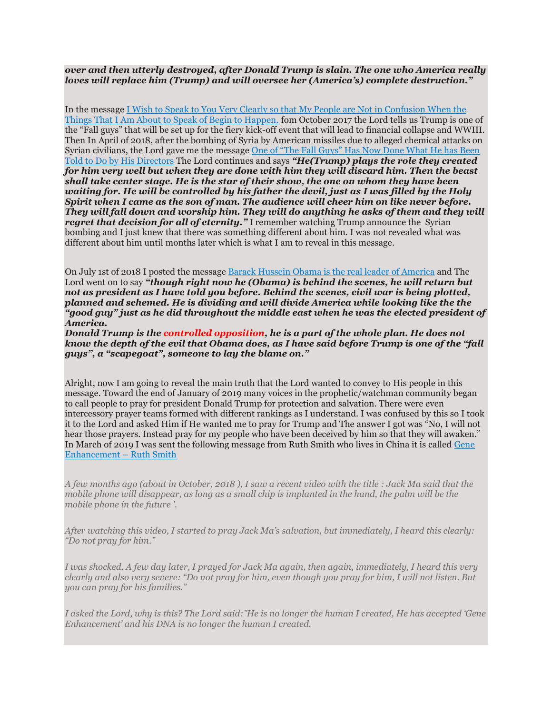## *over and then utterly destroyed, after Donald Trump is slain. The one who America really loves will replace him (Trump) and will oversee her (America's) complete destruction."*

In the message [I Wish to Speak to You Very Clearly so that My People are Not in Confusion When the](https://holyspiritwind.net/2017/10/i-wish-to-speak-to-you-very-clearly-so-that-my-people-are-not-in-confusion-when-the-things-that-i-am-about-to-speak-of-begin-to-happen/)  [Things That I Am About to Speak of Begin to Happen.](https://holyspiritwind.net/2017/10/i-wish-to-speak-to-you-very-clearly-so-that-my-people-are-not-in-confusion-when-the-things-that-i-am-about-to-speak-of-begin-to-happen/) fom October 2017 the Lord tells us Trump is one of the "Fall guys" that will be set up for the fiery kick-off event that will lead to financial collapse and WWIII. Then In April of 2018, after the bombing of Syria by American missiles due to alleged chemical attacks on Syrian civilians, the Lord gave me the message [One of "The Fall Guys" Has Now Done What He has Been](https://holyspiritwind.net/2018/04/one-of-the-fall-guys-has-now-done-what-he-has-been-told-to-do-by-his-directors/)  [Told to Do by His Directors](https://holyspiritwind.net/2018/04/one-of-the-fall-guys-has-now-done-what-he-has-been-told-to-do-by-his-directors/) The Lord continues and says *"He(Trump) plays the role they created for him very well but when they are done with him they will discard him. Then the beast shall take center stage. He is the star of their show, the one on whom they have been waiting for. He will be controlled by his father the devil, just as I was filled by the Holy Spirit when I came as the son of man. The audience will cheer him on like never before. They will fall down and worship him. They will do anything he asks of them and they will regret that decision for all of eternity.*" I remember watching Trump announce the Syrian bombing and I just knew that there was something different about him. I was not revealed what was different about him until months later which is what I am to reveal in this message.

On July 1st of 2018 I posted the message [Barack Hussein Obama is the real leader of America](https://holyspiritwind.net/2018/07/barack-hussein-obama-is-the-real-leader-of-america/) and The Lord went on to say *"though right now he (Obama) is behind the scenes, he will return but not as president as I have told you before. Behind the scenes, civil war is being plotted, planned and schemed. He is dividing and will divide America while looking like the the "good guy" just as he did throughout the middle east when he was the elected president of America.*

*Donald Trump is the controlled opposition, he is a part of the whole plan. He does not know the depth of the evil that Obama does, as I have said before Trump is one of the "fall guys", a "scapegoat", someone to lay the blame on."*

Alright, now I am going to reveal the main truth that the Lord wanted to convey to His people in this message. Toward the end of January of 2019 many voices in the prophetic/watchman community began to call people to pray for president Donald Trump for protection and salvation. There were even intercessory prayer teams formed with different rankings as I understand. I was confused by this so I took it to the Lord and asked Him if He wanted me to pray for Trump and The answer I got was "No, I will not hear those prayers. Instead pray for my people who have been deceived by him so that they will awaken." In March of 2019 I was sent the following message from Ruth Smith who lives in China it is called [Gene](https://whistleblowerjeff.holyspiritwind.net/2019/03/gene-enhancement-ruth-smith/)  [Enhancement](https://whistleblowerjeff.holyspiritwind.net/2019/03/gene-enhancement-ruth-smith/) – Ruth Smith

*A few months ago (about in October, 2018 ), I saw a recent video with the title : Jack Ma said that the mobile phone will disappear, as long as a small chip is implanted in the hand, the palm will be the mobile phone in the future '.*

*After watching this video, I started to pray Jack Ma's salvation, but immediately, I heard this clearly: "Do not pray for him."*

*I was shocked. A few day later, I prayed for Jack Ma again, then again, immediately, I heard this very clearly and also very severe: "Do not pray for him, even though you pray for him, I will not listen. But you can pray for his families."*

*I asked the Lord, why is this? The Lord said:"He is no longer the human I created, He has accepted 'Gene Enhancement' and his DNA is no longer the human I created.*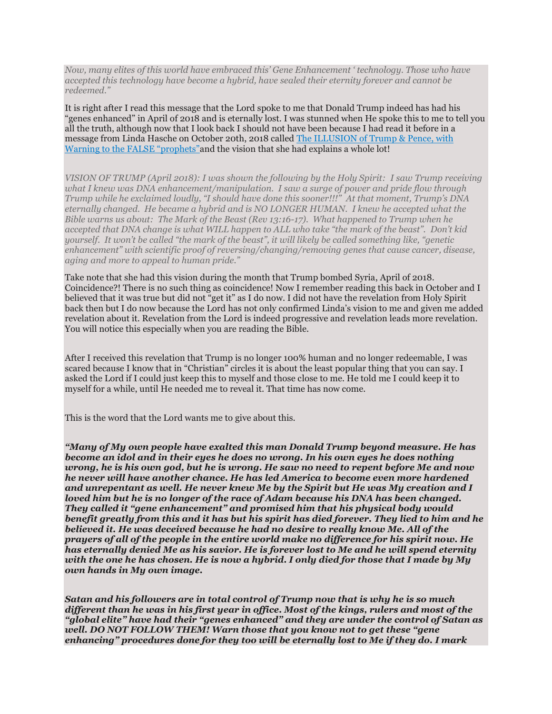*Now, many elites of this world have embraced this' Gene Enhancement ' technology. Those who have accepted this technology have become a hybrid, have sealed their eternity forever and cannot be redeemed."*

It is right after I read this message that the Lord spoke to me that Donald Trump indeed has had his "genes enhanced" in April of 2018 and is eternally lost. I was stunned when He spoke this to me to tell you all the truth, although now that I look back I should not have been because I had read it before in a message from Linda Hasche on October 20th, 2018 called [The ILLUSION of Trump & Pence, with](https://whistleblowerjeff.holyspiritwind.net/2018/10/the-illusion-of-trump-pence-with-warning-to-the-false-prophets-linda-hasche-believeacts2/)  [Warning to the FALSE "prophets"](https://whistleblowerjeff.holyspiritwind.net/2018/10/the-illusion-of-trump-pence-with-warning-to-the-false-prophets-linda-hasche-believeacts2/)and the vision that she had explains a whole lot!

*VISION OF TRUMP (April 2018): I was shown the following by the Holy Spirit: I saw Trump receiving what I knew was DNA enhancement/manipulation. I saw a surge of power and pride flow through Trump while he exclaimed loudly, "I should have done this sooner!!!" At that moment, Trump's DNA eternally changed. He became a hybrid and is NO LONGER HUMAN. I knew he accepted what the Bible warns us about: The Mark of the Beast (Rev 13:16-17). What happened to Trump when he accepted that DNA change is what WILL happen to ALL who take "the mark of the beast". Don't kid yourself. It won't be called "the mark of the beast", it will likely be called something like, "genetic enhancement" with scientific proof of reversing/changing/removing genes that cause cancer, disease, aging and more to appeal to human pride."*

Take note that she had this vision during the month that Trump bombed Syria, April of 2018. Coincidence?! There is no such thing as coincidence! Now I remember reading this back in October and I believed that it was true but did not "get it" as I do now. I did not have the revelation from Holy Spirit back then but I do now because the Lord has not only confirmed Linda's vision to me and given me added revelation about it. Revelation from the Lord is indeed progressive and revelation leads more revelation. You will notice this especially when you are reading the Bible.

After I received this revelation that Trump is no longer 100% human and no longer redeemable, I was scared because I know that in "Christian" circles it is about the least popular thing that you can say. I asked the Lord if I could just keep this to myself and those close to me. He told me I could keep it to myself for a while, until He needed me to reveal it. That time has now come.

This is the word that the Lord wants me to give about this.

*"Many of My own people have exalted this man Donald Trump beyond measure. He has become an idol and in their eyes he does no wrong. In his own eyes he does nothing wrong, he is his own god, but he is wrong. He saw no need to repent before Me and now he never will have another chance. He has led America to become even more hardened and unrepentant as well. He never knew Me by the Spirit but He was My creation and I loved him but he is no longer of the race of Adam because his DNA has been changed. They called it "gene enhancement" and promised him that his physical body would benefit greatly from this and it has but his spirit has died forever. They lied to him and he believed it. He was deceived because he had no desire to really know Me. All of the prayers of all of the people in the entire world make no difference for his spirit now. He has eternally denied Me as his savior. He is forever lost to Me and he will spend eternity with the one he has chosen. He is now a hybrid. I only died for those that I made by My own hands in My own image.*

*Satan and his followers are in total control of Trump now that is why he is so much different than he was in his first year in office. Most of the kings, rulers and most of the "global elite" have had their "genes enhanced" and they are under the control of Satan as well. DO NOT FOLLOW THEM! Warn those that you know not to get these "gene enhancing" procedures done for they too will be eternally lost to Me if they do. I mark*